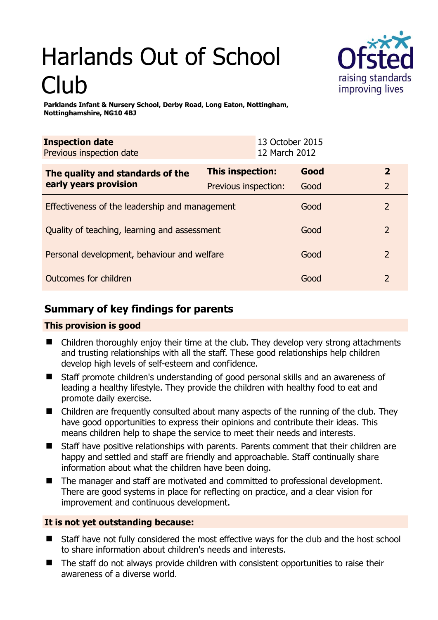# Harlands Out of School Club



**Parklands Infant & Nursery School, Derby Road, Long Eaton, Nottingham, Nottinghamshire, NG10 4BJ** 

| <b>Inspection date</b><br>Previous inspection date |                      | 13 October 2015<br>12 March 2012 |      |                |
|----------------------------------------------------|----------------------|----------------------------------|------|----------------|
| The quality and standards of the                   | This inspection:     |                                  | Good | $\overline{2}$ |
| early years provision                              | Previous inspection: |                                  | Good | 2              |
| Effectiveness of the leadership and management     |                      |                                  | Good | 2              |
| Quality of teaching, learning and assessment       |                      |                                  | Good | $\overline{2}$ |
| Personal development, behaviour and welfare        |                      |                                  | Good | $\overline{2}$ |
| Outcomes for children                              |                      |                                  | Good | $\mathcal{L}$  |

# **Summary of key findings for parents**

## **This provision is good**

- Children thoroughly enjoy their time at the club. They develop very strong attachments and trusting relationships with all the staff. These good relationships help children develop high levels of self-esteem and confidence.
- Staff promote children's understanding of good personal skills and an awareness of leading a healthy lifestyle. They provide the children with healthy food to eat and promote daily exercise.
- Children are frequently consulted about many aspects of the running of the club. They have good opportunities to express their opinions and contribute their ideas. This means children help to shape the service to meet their needs and interests.
- Staff have positive relationships with parents. Parents comment that their children are happy and settled and staff are friendly and approachable. Staff continually share information about what the children have been doing.
- The manager and staff are motivated and committed to professional development. There are good systems in place for reflecting on practice, and a clear vision for improvement and continuous development.

## **It is not yet outstanding because:**

- Staff have not fully considered the most effective ways for the club and the host school to share information about children's needs and interests.
- The staff do not always provide children with consistent opportunities to raise their awareness of a diverse world.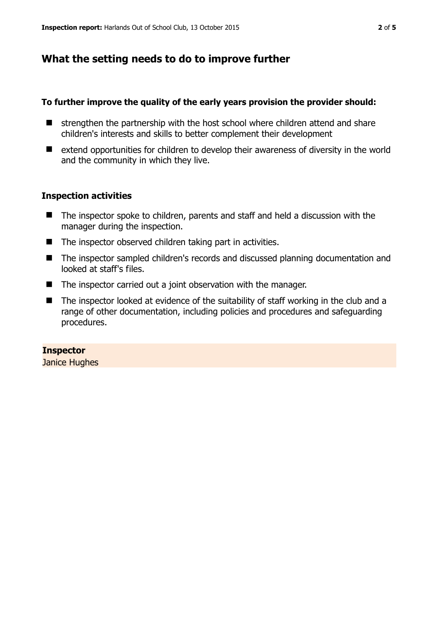## **What the setting needs to do to improve further**

#### **To further improve the quality of the early years provision the provider should:**

- $\blacksquare$  strengthen the partnership with the host school where children attend and share children's interests and skills to better complement their development
- extend opportunities for children to develop their awareness of diversity in the world and the community in which they live.

#### **Inspection activities**

- The inspector spoke to children, parents and staff and held a discussion with the manager during the inspection.
- The inspector observed children taking part in activities.
- The inspector sampled children's records and discussed planning documentation and looked at staff's files.
- The inspector carried out a joint observation with the manager.
- The inspector looked at evidence of the suitability of staff working in the club and a range of other documentation, including policies and procedures and safeguarding procedures.

#### **Inspector**

Janice Hughes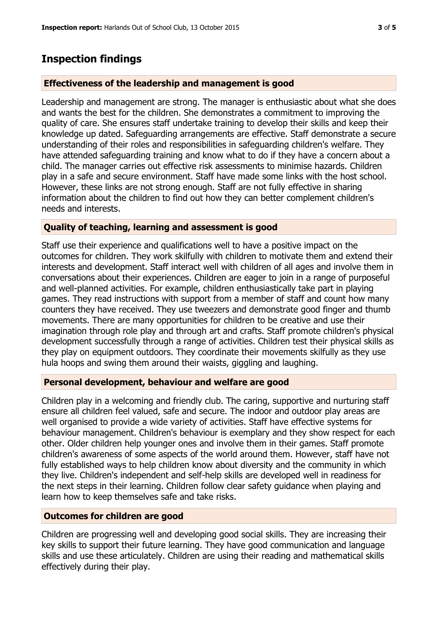## **Inspection findings**

#### **Effectiveness of the leadership and management is good**

Leadership and management are strong. The manager is enthusiastic about what she does and wants the best for the children. She demonstrates a commitment to improving the quality of care. She ensures staff undertake training to develop their skills and keep their knowledge up dated. Safeguarding arrangements are effective. Staff demonstrate a secure understanding of their roles and responsibilities in safeguarding children's welfare. They have attended safeguarding training and know what to do if they have a concern about a child. The manager carries out effective risk assessments to minimise hazards. Children play in a safe and secure environment. Staff have made some links with the host school. However, these links are not strong enough. Staff are not fully effective in sharing information about the children to find out how they can better complement children's needs and interests.

#### **Quality of teaching, learning and assessment is good**

Staff use their experience and qualifications well to have a positive impact on the outcomes for children. They work skilfully with children to motivate them and extend their interests and development. Staff interact well with children of all ages and involve them in conversations about their experiences. Children are eager to join in a range of purposeful and well-planned activities. For example, children enthusiastically take part in playing games. They read instructions with support from a member of staff and count how many counters they have received. They use tweezers and demonstrate good finger and thumb movements. There are many opportunities for children to be creative and use their imagination through role play and through art and crafts. Staff promote children's physical development successfully through a range of activities. Children test their physical skills as they play on equipment outdoors. They coordinate their movements skilfully as they use hula hoops and swing them around their waists, giggling and laughing.

#### **Personal development, behaviour and welfare are good**

Children play in a welcoming and friendly club. The caring, supportive and nurturing staff ensure all children feel valued, safe and secure. The indoor and outdoor play areas are well organised to provide a wide variety of activities. Staff have effective systems for behaviour management. Children's behaviour is exemplary and they show respect for each other. Older children help younger ones and involve them in their games. Staff promote children's awareness of some aspects of the world around them. However, staff have not fully established ways to help children know about diversity and the community in which they live. Children's independent and self-help skills are developed well in readiness for the next steps in their learning. Children follow clear safety guidance when playing and learn how to keep themselves safe and take risks.

#### **Outcomes for children are good**

Children are progressing well and developing good social skills. They are increasing their key skills to support their future learning. They have good communication and language skills and use these articulately. Children are using their reading and mathematical skills effectively during their play.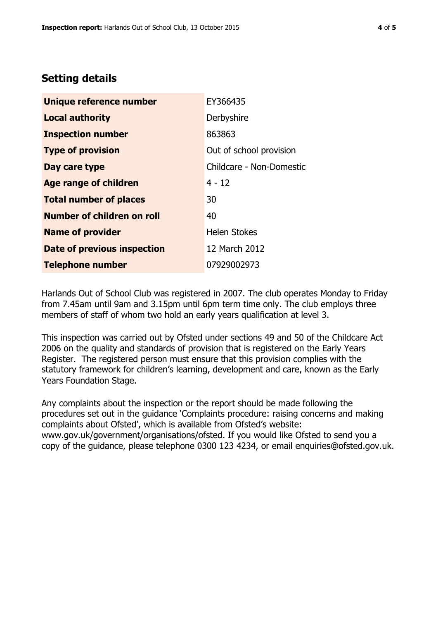## **Setting details**

| Unique reference number       | EY366435                 |  |
|-------------------------------|--------------------------|--|
| <b>Local authority</b>        | Derbyshire               |  |
| <b>Inspection number</b>      | 863863                   |  |
| <b>Type of provision</b>      | Out of school provision  |  |
| Day care type                 | Childcare - Non-Domestic |  |
| <b>Age range of children</b>  | $4 - 12$                 |  |
| <b>Total number of places</b> | 30                       |  |
| Number of children on roll    | 40                       |  |
| <b>Name of provider</b>       | <b>Helen Stokes</b>      |  |
| Date of previous inspection   | 12 March 2012            |  |
| <b>Telephone number</b>       | 07929002973              |  |

Harlands Out of School Club was registered in 2007. The club operates Monday to Friday from 7.45am until 9am and 3.15pm until 6pm term time only. The club employs three members of staff of whom two hold an early years qualification at level 3.

This inspection was carried out by Ofsted under sections 49 and 50 of the Childcare Act 2006 on the quality and standards of provision that is registered on the Early Years Register. The registered person must ensure that this provision complies with the statutory framework for children's learning, development and care, known as the Early Years Foundation Stage.

Any complaints about the inspection or the report should be made following the procedures set out in the guidance 'Complaints procedure: raising concerns and making complaints about Ofsted', which is available from Ofsted's website: www.gov.uk/government/organisations/ofsted. If you would like Ofsted to send you a copy of the guidance, please telephone 0300 123 4234, or email enquiries@ofsted.gov.uk.